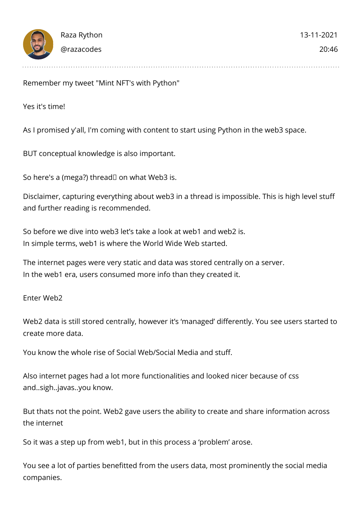

Remember my tweet "Mint NFT's with Python"

Yes it's time!

As I promised y'all, I'm coming with content to start using Python in the web3 space.

BUT conceptual knowledge is also important.

So here's a (mega?) thread  $\Box$  on what Web3 is.

Disclaimer, capturing everything about web3 in a thread is impossible. This is high level stuff and further reading is recommended.

So before we dive into web3 let's take a look at web1 and web2 is. In simple terms, web1 is where the World Wide Web started.

The internet pages were very static and data was stored centrally on a server. In the web1 era, users consumed more info than they created it.

Enter Web2

Web2 data is still stored centrally, however it's 'managed' differently. You see users started to create more data.

You know the whole rise of Social Web/Social Media and stuff.

Also internet pages had a lot more functionalities and looked nicer because of css and..sigh..javas..you know.

But thats not the point. Web2 gave users the ability to create and share information across the internet

So it was a step up from web1, but in this process a 'problem' arose.

You see a lot of parties benefitted from the users data, most prominently the social media companies.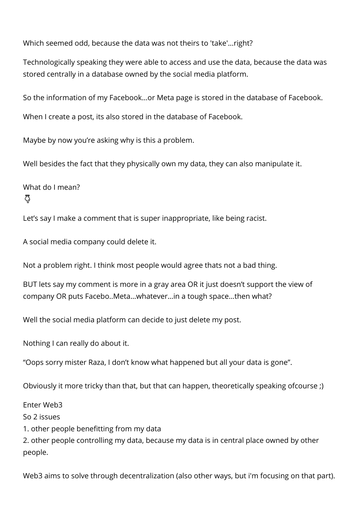Which seemed odd, because the data was not theirs to 'take'...right?

Technologically speaking they were able to access and use the data, because the data was stored centrally in a database owned by the social media platform.

So the information of my Facebook…or Meta page is stored in the database of Facebook.

When I create a post, its also stored in the database of Facebook.

Maybe by now you're asking why is this a problem.

Well besides the fact that they physically own my data, they can also manipulate it.

What do I mean? ෬

Let's say I make a comment that is super inappropriate, like being racist.

A social media company could delete it.

Not a problem right. I think most people would agree thats not a bad thing.

BUT lets say my comment is more in a gray area OR it just doesn't support the view of company OR puts Facebo..Meta…whatever…in a tough space…then what?

Well the social media platform can decide to just delete my post.

Nothing I can really do about it.

"Oops sorry mister Raza, I don't know what happened but all your data is gone".

Obviously it more tricky than that, but that can happen, theoretically speaking ofcourse ;)

Enter Web3

So 2 issues

1. other people benefitting from my data

2. other people controlling my data, because my data is in central place owned by other people.

Web3 aims to solve through decentralization (also other ways, but i'm focusing on that part).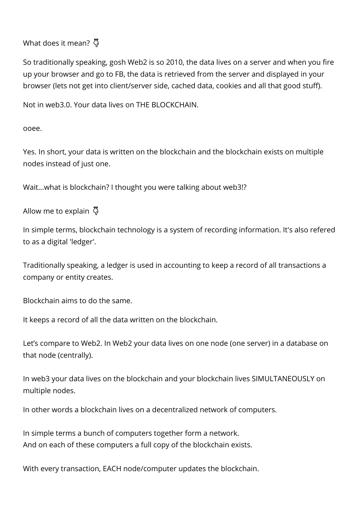What does it mean? 쥬

So traditionally speaking, gosh Web2 is so 2010, the data lives on a server and when you fire up your browser and go to FB, the data is retrieved from the server and displayed in your browser (lets not get into client/server side, cached data, cookies and all that good stuff).

Not in web3.0. Your data lives on THE BLOCKCHAIN.

ooee.

Yes. In short, your data is written on the blockchain and the blockchain exists on multiple nodes instead of just one.

Wait...what is blockchain? I thought you were talking about web3!?

Allow me to explain 昂

In simple terms, blockchain technology is a system of recording information. It's also refered to as a digital 'ledger'.

Traditionally speaking, a ledger is used in accounting to keep a record of all transactions a company or entity creates.

Blockchain aims to do the same.

It keeps a record of all the data written on the blockchain.

Let's compare to Web2. In Web2 your data lives on one node (one server) in a database on that node (centrally).

In web3 your data lives on the blockchain and your blockchain lives SIMULTANEOUSLY on multiple nodes.

In other words a blockchain lives on a decentralized network of computers.

In simple terms a bunch of computers together form a network. And on each of these computers a full copy of the blockchain exists.

With every transaction, EACH node/computer updates the blockchain.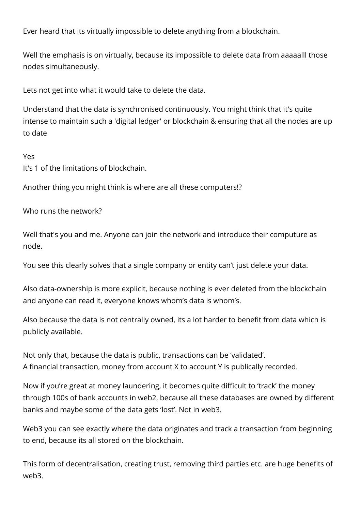Ever heard that its virtually impossible to delete anything from a blockchain.

Well the emphasis is on virtually, because its impossible to delete data from aaaaalll those nodes simultaneously.

Lets not get into what it would take to delete the data.

Understand that the data is synchronised continuously. You might think that it's quite intense to maintain such a 'digital ledger' or blockchain & ensuring that all the nodes are up to date

Yes

It's 1 of the limitations of blockchain.

Another thing you might think is where are all these computers!?

Who runs the network?

Well that's you and me. Anyone can join the network and introduce their computure as node.

You see this clearly solves that a single company or entity can't just delete your data.

Also data-ownership is more explicit, because nothing is ever deleted from the blockchain and anyone can read it, everyone knows whom's data is whom's.

Also because the data is not centrally owned, its a lot harder to benefit from data which is publicly available.

Not only that, because the data is public, transactions can be 'validated'. A financial transaction, money from account X to account Y is publically recorded.

Now if you're great at money laundering, it becomes quite difficult to 'track' the money through 100s of bank accounts in web2, because all these databases are owned by different banks and maybe some of the data gets 'lost'. Not in web3.

Web3 you can see exactly where the data originates and track a transaction from beginning to end, because its all stored on the blockchain.

This form of decentralisation, creating trust, removing third parties etc. are huge benefits of web3.